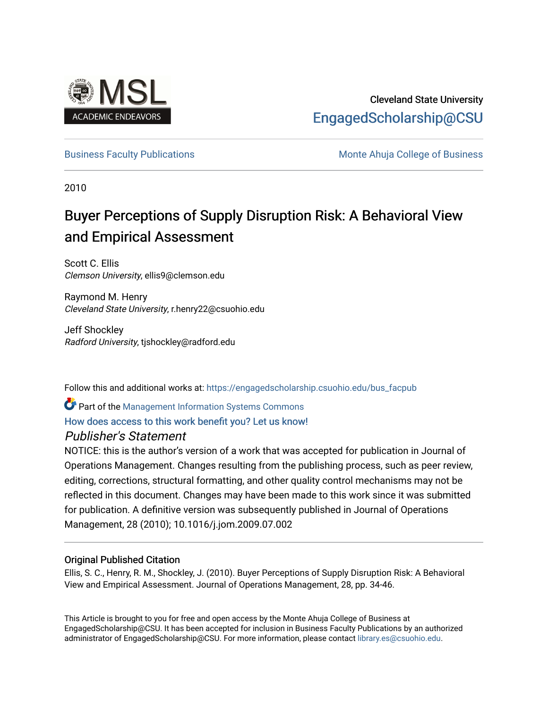

# Cleveland State University [EngagedScholarship@CSU](https://engagedscholarship.csuohio.edu/)

[Business Faculty Publications](https://engagedscholarship.csuohio.edu/bus_facpub) **Monte Ahuja College of Business** Monte Ahuja College of Business

2010

# Buyer Perceptions of Supply Disruption Risk: A Behavioral View and Empirical Assessment

Scott C. Ellis Clemson University, ellis9@clemson.edu

Raymond M. Henry Cleveland State University, r.henry22@csuohio.edu

Jeff Shockley Radford University, tjshockley@radford.edu

Follow this and additional works at: [https://engagedscholarship.csuohio.edu/bus\\_facpub](https://engagedscholarship.csuohio.edu/bus_facpub?utm_source=engagedscholarship.csuohio.edu%2Fbus_facpub%2F3&utm_medium=PDF&utm_campaign=PDFCoverPages) 

**P** Part of the Management Information Systems Commons

# [How does access to this work benefit you? Let us know!](http://library.csuohio.edu/engaged/)

# Publisher's Statement

NOTICE: this is the author's version of a work that was accepted for publication in Journal of Operations Management. Changes resulting from the publishing process, such as peer review, editing, corrections, structural formatting, and other quality control mechanisms may not be reflected in this document. Changes may have been made to this work since it was submitted for publication. A definitive version was subsequently published in Journal of Operations Management, 28 (2010); 10.1016/j.jom.2009.07.002

# Original Published Citation

Ellis, S. C., Henry, R. M., Shockley, J. (2010). Buyer Perceptions of Supply Disruption Risk: A Behavioral View and Empirical Assessment. Journal of Operations Management, 28, pp. 34-46.

This Article is brought to you for free and open access by the Monte Ahuja College of Business at EngagedScholarship@CSU. It has been accepted for inclusion in Business Faculty Publications by an authorized administrator of EngagedScholarship@CSU. For more information, please contact [library.es@csuohio.edu.](mailto:library.es@csuohio.edu)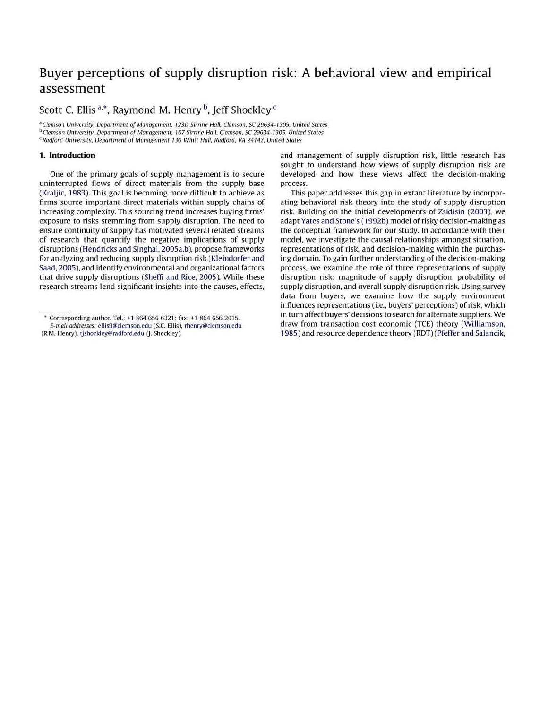# Buyer perceptions of supply disruption risk: A behavioral *view* and empirical assessment

Scott C. Ellis  $a^*$ , Raymond M. Henry  $b^*$ , Jeff Shockley  $c^*$ 

<sup>a</sup> Clemson University. Department of Management, 123D Sirrine Hall, Clemson, SC 29634-1305. United States <sup>b</sup> Clemson University, Department of Management, 107 Sirrine Hall, Clemson, SC 29634-1305, United States <sup>c</sup> Radford University. Department of Management 130 Whitt Hall, Radford, VA 24142. United States

### 1. **Introduction**

One of the primary goals of supply management is to secure uninterrupted flows of direct materials from the supply base (Kraljic, 1983). This goal is becoming more difficult to achieve as firms source important direct materials within supply chains of increasing complexity. This sourcing trend increases buying firms' exposure to risks stemming from supply disruption. The need to ensure continuity of supply has motivated several related streams of research that quantify the negative implications of supply disruptions (Hendricks and Singhal, 2005a,b), propose frameworks for analyzing and reducing supply disruption risk (Kleindorfer and Saad, 2005), and identify environmental and organizational factors that drive supply disruptions (Sheffi and Rice, 2005). While these research streams lend significant insights into the causes. effects, and management of supply disruption risk. little research has sought to understand how views of supply disruption risk are developed and how these views affect the decision-making process.

This paper addresses this gap in extant literature by incorporating behavioral risk theory into the study of supply disruption risk. Building on the initial developments of Zsidisin (2003), we adapt Yates and Stone's (1992b) model of risky decision-making as the conceptual framework for our study. In accordance with their model. we investigate the causal relationships amongst situation. representations of risk, and decision-making within the purchasing domain. To gain further understanding of the decision-making process, we examine the role of three representations of supply disruption risk: magnitude of supply disruption. probability of supply disruption. and overall supply disruption risk. Using survey data from buyers, we examine how the supply environment influences representations (i.e., buyers' perceptions) of risk, which in turn affect buyers' decisions to search for alternate suppliers. We draw from transaction cost economic (TCE) theory (Williamson. 1985) and resource dependence theory (RDT) (Pfeffer and Salancik,

Corresponding author. Tel.: +1 864 656 6321; fax: +1 864 656 2015.

E-mail addresses: ellis9@clemson.edu (S.C. Ellis), rhenry@clemson.edu (R.M. Henry), tjshockley@radford.edu (J. Shockley).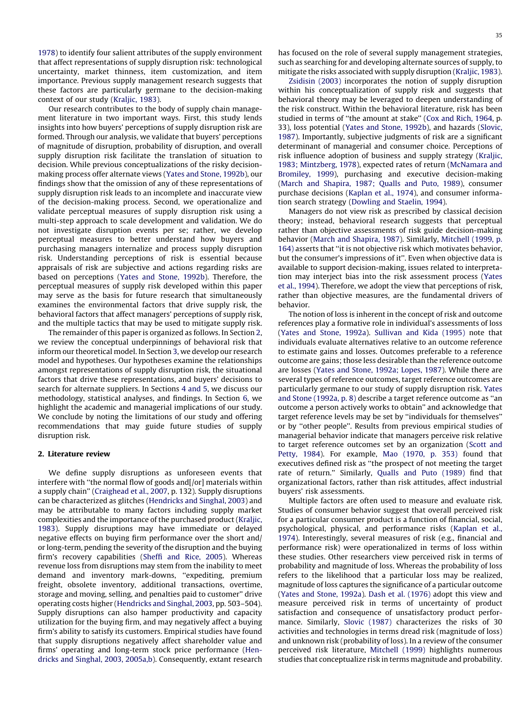[1978\)](#page-12-0) to identify four salient attributes of the supply environment that affect representations of supply disruption risk: technological uncertainty, market thinness, item customization, and item importance. Previous supply management research suggests that these factors are particularly germane to the decision-making context of our study [\(Kraljic,](#page-12-0) 1983).

Our research contributes to the body of supply chain management literature in two important ways. First, this study lends insights into how buyers' perceptions of supply disruption risk are formed. Through our analysis, we validate that buyers' perceptions of magnitude of disruption, probability of disruption, and overall supply disruption risk facilitate the translation of situation to decision. While previous conceptualizations of the risky decisionmaking process offer alternate views (Yates and Stone, [1992b\)](#page-13-0), our findings show that the omission of any of these representations of supply disruption risk leads to an incomplete and inaccurate view of the decision-making process. Second, we operationalize and validate perceptual measures of supply disruption risk using a multi-step approach to scale development and validation. We do not investigate disruption events per se; rather, we develop perceptual measures to better understand how buyers and purchasing managers internalize and process supply disruption risk. Understanding perceptions of risk is essential because appraisals of risk are subjective and actions regarding risks are based on perceptions (Yates and Stone, [1992b](#page-13-0)). Therefore, the perceptual measures of supply risk developed within this paper may serve as the basis for future research that simultaneously examines the environmental factors that drive supply risk, the behavioral factors that affect managers' perceptions of supply risk, and the multiple tactics that may be used to mitigate supply risk.

The remainder of this paper is organized as follows. In Section 2, we review the conceptual underpinnings of behavioral risk that inform our theoretical model. In Section [3](#page-3-0), we develop our research model and hypotheses. Our hypotheses examine the relationships amongst representations of supply disruption risk, the situational factors that drive these representations, and buyers' decisions to search for alternate suppliers. In Sections 4 [and](#page-5-0) 5, we discuss our methodology, statistical analyses, and findings. In Section [6,](#page-10-0) we highlight the academic and managerial implications of our study. We conclude by noting the limitations of our study and offering recommendations that may guide future studies of supply disruption risk.

# 2. Literature review

We define supply disruptions as unforeseen events that interfere with ''the normal flow of goods and[/or] materials within a supply chain'' [\(Craighead](#page-12-0) et al., 2007, p. 132). Supply disruptions can be characterized as glitches ([Hendricks](#page-12-0) and Singhal, 2003) and may be attributable to many factors including supply market complexities and the importance of the purchased product [\(Kraljic,](#page-12-0) [1983\)](#page-12-0). Supply disruptions may have immediate or delayed negative effects on buying firm performance over the short and/ or long-term, pending the severity of the disruption and the buying firm's recovery capabilities [\(Sheffi](#page-12-0) and Rice, 2005). Whereas revenue loss from disruptions may stem from the inability to meet demand and inventory mark-downs, ''expediting, premium freight, obsolete inventory, additional transactions, overtime, storage and moving, selling, and penalties paid to customer'' drive operating costs higher [\(Hendricks](#page-12-0) and Singhal, 2003, pp. 503–504). Supply disruptions can also hamper productivity and capacity utilization for the buying firm, and may negatively affect a buying firm's ability to satisfy its customers. Empirical studies have found that supply disruptions negatively affect shareholder value and firms' operating and long-term stock price performance ([Hen](#page-12-0)dricks and Singhal, 2003, [2005a,b\)](#page-12-0). Consequently, extant research has focused on the role of several supply management strategies, such as searching for and developing alternate sources of supply, to mitigate the risks associated with supply disruption [\(Kraljic,](#page-12-0) 1983).

[Zsidisin](#page-13-0) (2003) incorporates the notion of supply disruption within his conceptualization of supply risk and suggests that behavioral theory may be leveraged to deepen understanding of the risk construct. Within the behavioral literature, risk has been studied in terms of ''the amount at stake'' (Cox and Rich, [1964](#page-12-0), p. 33), loss potential (Yates and Stone, [1992b\)](#page-13-0), and hazards [\(Slovic,](#page-13-0) [1987\)](#page-13-0). Importantly, subjective judgments of risk are a significant determinant of managerial and consumer choice. Perceptions of risk influence adoption of business and supply strategy [\(Kraljic,](#page-12-0) 1983; [Mintzberg,](#page-12-0) 1978), expected rates of return [\(McNamara](#page-12-0) and [Bromiley,](#page-12-0) 1999), purchasing and executive decision-making (March and [Shapira,](#page-12-0) 1987; Qualls and Puto, 1989), consumer purchase decisions [\(Kaplan](#page-12-0) et al., 1974), and consumer information search strategy ([Dowling](#page-12-0) and Staelin, 1994).

Managers do not view risk as prescribed by classical decision theory; instead, behavioral research suggests that perceptual rather than objective assessments of risk guide decision-making behavior (March and [Shapira,](#page-12-0) 1987). Similarly, [Mitchell](#page-12-0) (1999, p. [164\)](#page-12-0) asserts that ''it is not objective risk which motivates behavior, but the consumer's impressions of it''. Even when objective data is available to support decision-making, issues related to interpretation may interject bias into the risk assessment process [\(Yates](#page-13-0) et al., [1994\)](#page-13-0). Therefore, we adopt the view that perceptions of risk, rather than objective measures, are the fundamental drivers of behavior.

The notion of loss is inherent in the concept of risk and outcome references play a formative role in individual's assessments of loss (Yates and Stone, [1992a](#page-13-0)). [Sullivan](#page-13-0) and Kida (1995) note that individuals evaluate alternatives relative to an outcome reference to estimate gains and losses. Outcomes preferable to a reference outcome are gains; those less desirable than the reference outcome are losses (Yates and Stone, [1992a;](#page-13-0) Lopes, 1987). While there are several types of reference outcomes, target reference outcomes are particularly germane to our study of supply disruption risk. [Yates](#page-13-0) and Stone [\(1992a,](#page-13-0) p. 8) describe a target reference outcome as ''an outcome a person actively works to obtain'' and acknowledge that target reference levels may be set by ''individuals for themselves'' or by ''other people''. Results from previous empirical studies of managerial behavior indicate that managers perceive risk relative to target reference outcomes set by an organization [\(Scott](#page-12-0) and [Petty,](#page-12-0) 1984). For example, Mao [\(1970,](#page-12-0) p. 353) found that executives defined risk as ''the prospect of not meeting the target rate of return.'' Similarly, Qualls and Puto [\(1989\)](#page-12-0) find that organizational factors, rather than risk attitudes, affect industrial buyers' risk assessments.

Multiple factors are often used to measure and evaluate risk. Studies of consumer behavior suggest that overall perceived risk for a particular consumer product is a function of financial, social, psychological, physical, and performance risks ([Kaplan](#page-12-0) et al., [1974\)](#page-12-0). Interestingly, several measures of risk (e.g., financial and performance risk) were operationalized in terms of loss within these studies. Other researchers view perceived risk in terms of probability and magnitude of loss. Whereas the probability of loss refers to the likelihood that a particular loss may be realized, magnitude of loss captures the significance of a particular outcome (Yates and Stone, [1992a\)](#page-13-0). Dash et al. [\(1976\)](#page-12-0) adopt this view and measure perceived risk in terms of uncertainty of product satisfaction and consequence of unsatisfactory product performance. Similarly, Slovic [\(1987\)](#page-13-0) characterizes the risks of 30 activities and technologies in terms dread risk (magnitude of loss) and unknown risk (probability of loss). In a review of the consumer perceived risk literature, [Mitchell](#page-12-0) (1999) highlights numerous studies that conceptualize risk in terms magnitude and probability.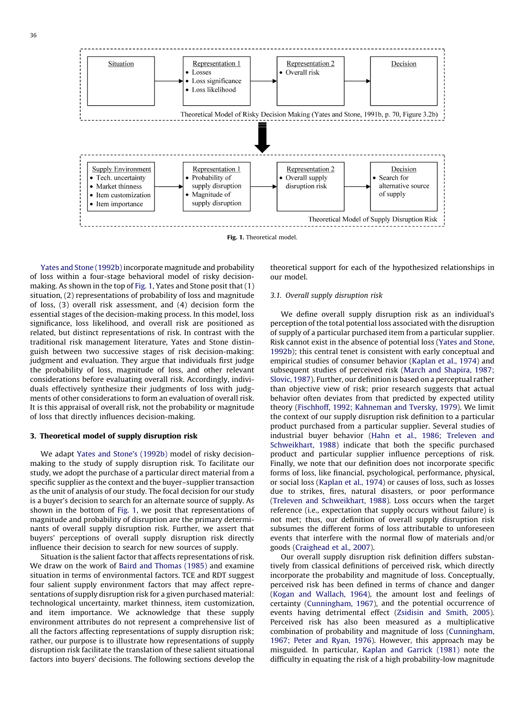<span id="page-3-0"></span>

Fig. 1. Theoretical model.

Yates and Stone [\(1992b\)](#page-13-0) incorporate magnitude and probability of loss within a four-stage behavioral model of risky decisionmaking. As shown in the top of Fig. 1, Yates and Stone posit that (1) situation, (2) representations of probability of loss and magnitude of loss, (3) overall risk assessment, and (4) decision form the essential stages of the decision-making process. In this model, loss significance, loss likelihood, and overall risk are positioned as related, but distinct representations of risk. In contrast with the traditional risk management literature, Yates and Stone distinguish between two successive stages of risk decision-making: judgment and evaluation. They argue that individuals first judge the probability of loss, magnitude of loss, and other relevant considerations before evaluating overall risk. Accordingly, individuals effectively synthesize their judgments of loss with judgments of other considerations to form an evaluation of overall risk. It is this appraisal of overall risk, not the probability or magnitude of loss that directly influences decision-making.

# 3. Theoretical model of supply disruption risk

We adapt Yates and Stone's [\(1992b\)](#page-13-0) model of risky decisionmaking to the study of supply disruption risk. To facilitate our study, we adopt the purchase of a particular direct material from a specific supplier as the context and the buyer–supplier transaction as the unit of analysis of our study. The focal decision for our study is a buyer's decision to search for an alternate source of supply. As shown in the bottom of Fig. 1, we posit that representations of magnitude and probability of disruption are the primary determinants of overall supply disruption risk. Further, we assert that buyers' perceptions of overall supply disruption risk directly influence their decision to search for new sources of supply.

Situation is the salient factor that affects representations of risk. We draw on the work of Baird and [Thomas](#page-12-0) (1985) and examine situation in terms of environmental factors. TCE and RDT suggest four salient supply environment factors that may affect representations of supply disruption risk for a given purchased material: technological uncertainty, market thinness, item customization, and item importance. We acknowledge that these supply environment attributes do not represent a comprehensive list of all the factors affecting representations of supply disruption risk; rather, our purpose is to illustrate how representations of supply disruption risk facilitate the translation of these salient situational factors into buyers' decisions. The following sections develop the theoretical support for each of the hypothesized relationships in our model.

# 3.1. Overall supply disruption risk

We define overall supply disruption risk as an individual's perception of the total potential loss associated with the disruption of supply of a particular purchased item from a particular supplier. Risk cannot exist in the absence of potential loss (Yates and [Stone,](#page-13-0) [1992b\)](#page-13-0); this central tenet is consistent with early conceptual and empirical studies of consumer behavior ([Kaplan](#page-12-0) et al., 1974) and subsequent studies of perceived risk (March and [Shapira,](#page-12-0) 1987; [Slovic,](#page-12-0) 1987). Further, our definition is based on a perceptual rather than objective view of risk; prior research suggests that actual behavior often deviates from that predicted by expected utility theory (Fischhoff, 1992; [Kahneman](#page-12-0) and Tversky, 1979). We limit the context of our supply disruption risk definition to a particular product purchased from a particular supplier. Several studies of industrial buyer behavior (Hahn et al., 1986; [Treleven](#page-12-0) and [Schweikhart,](#page-12-0) 1988) indicate that both the specific purchased product and particular supplier influence perceptions of risk. Finally, we note that our definition does not incorporate specific forms of loss, like financial, psychological, performance, physical, or social loss [\(Kaplan](#page-12-0) et al., 1974) or causes of loss, such as losses due to strikes, fires, natural disasters, or poor performance (Treleven and [Schweikhart,](#page-13-0) 1988). Loss occurs when the target reference (i.e., expectation that supply occurs without failure) is not met; thus, our definition of overall supply disruption risk subsumes the different forms of loss attributable to unforeseen events that interfere with the normal flow of materials and/or goods ([Craighead](#page-12-0) et al., 2007).

Our overall supply disruption risk definition differs substantively from classical definitions of perceived risk, which directly incorporate the probability and magnitude of loss. Conceptually, perceived risk has been defined in terms of chance and danger (Kogan and [Wallach,](#page-12-0) 1964), the amount lost and feelings of certainty [\(Cunningham,](#page-12-0) 1967), and the potential occurrence of events having detrimental effect ([Zsidisin](#page-13-0) and Smith, 2005). Perceived risk has also been measured as a multiplicative combination of probability and magnitude of loss ([Cunningham,](#page-12-0) [1967;](#page-12-0) Peter and Ryan, 1976). However, this approach may be misguided. In particular, Kaplan and [Garrick](#page-12-0) (1981) note the difficulty in equating the risk of a high probability-low magnitude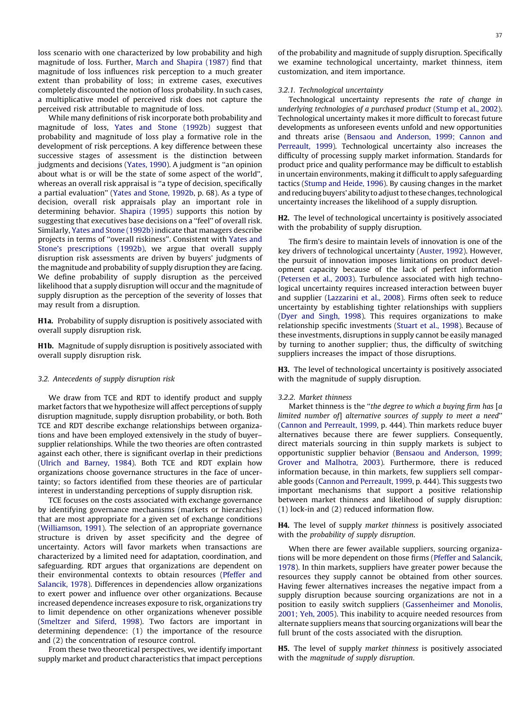<span id="page-4-0"></span>loss scenario with one characterized by low probability and high magnitude of loss. Further, March and [Shapira](#page-12-0) (1987) find that magnitude of loss influences risk perception to a much greater extent than probability of loss; in extreme cases, executives completely discounted the notion of loss probability. In such cases, a multiplicative model of perceived risk does not capture the perceived risk attributable to magnitude of loss.

While many definitions of risk incorporate both probability and magnitude of loss, Yates and Stone [\(1992b\)](#page-13-0) suggest that probability and magnitude of loss play a formative role in the development of risk perceptions. A key difference between these successive stages of assessment is the distinction between judgments and decisions [\(Yates,](#page-13-0) 1990). A judgment is ''an opinion about what is or will be the state of some aspect of the world'', whereas an overall risk appraisal is "a type of decision, specifically a partial evaluation'' (Yates and Stone, [1992b,](#page-13-0) p. 68). As a type of decision, overall risk appraisals play an important role in determining behavior. [Shapira](#page-12-0) (1995) supports this notion by suggesting that executives base decisions on a ''feel'' of overall risk. Similarly, Yates and Stone [\(1992b\)](#page-13-0) indicate that managers describe projects in terms of ''overall riskiness''. Consistent with [Yates](#page-13-0) and Stone's [prescriptions](#page-13-0) (1992b), we argue that overall supply disruption risk assessments are driven by buyers' judgments of the magnitude and probability of supply disruption they are facing. We define probability of supply disruption as the perceived likelihood that a supply disruption will occur and the magnitude of supply disruption as the perception of the severity of losses that may result from a disruption.

H1a. Probability of supply disruption is positively associated with overall supply disruption risk.

H1b. Magnitude of supply disruption is positively associated with overall supply disruption risk.

#### 3.2. Antecedents of supply disruption risk

We draw from TCE and RDT to identify product and supply market factors that we hypothesize will affect perceptions of supply disruption magnitude, supply disruption probability, or both. Both TCE and RDT describe exchange relationships between organizations and have been employed extensively in the study of buyer– supplier relationships. While the two theories are often contrasted against each other, there is significant overlap in their predictions (Ulrich and [Barney,](#page-13-0) 1984). Both TCE and RDT explain how organizations choose governance structures in the face of uncertainty; so factors identified from these theories are of particular interest in understanding perceptions of supply disruption risk.

TCE focuses on the costs associated with exchange governance by identifying governance mechanisms (markets or hierarchies) that are most appropriate for a given set of exchange conditions ([Williamson,](#page-13-0) 1991). The selection of an appropriate governance structure is driven by asset specificity and the degree of uncertainty. Actors will favor markets when transactions are characterized by a limited need for adaptation, coordination, and safeguarding. RDT argues that organizations are dependent on their environmental contexts to obtain resources ([Pfeffer](#page-12-0) and [Salancik,](#page-12-0) 1978). Differences in dependencies allow organizations to exert power and influence over other organizations. Because increased dependence increases exposure to risk, organizations try to limit dependence on other organizations whenever possible ([Smeltzer](#page-13-0) and Siferd, 1998). Two factors are important in determining dependence: (1) the importance of the resource and (2) the concentration of resource control.

From these two theoretical perspectives, we identify important supply market and product characteristics that impact perceptions of the probability and magnitude of supply disruption. Specifically we examine technological uncertainty, market thinness, item customization, and item importance.

# 3.2.1. Technological uncertainty

Technological uncertainty represents the rate of change in underlying technologies of a purchased product [\(Stump](#page-13-0) et al., 2002). Technological uncertainty makes it more difficult to forecast future developments as unforeseen events unfold and new opportunities and threats arise (Bensaou and [Anderson,](#page-12-0) 1999; Cannon and [Perreault,](#page-12-0) 1999). Technological uncertainty also increases the difficulty of processing supply market information. Standards for product price and quality performance may be difficult to establish in uncertain environments, making it difficult to apply safeguarding tactics [\(Stump](#page-13-0) and Heide, 1996). By causing changes in the market and reducing buyers' ability to adjust to these changes, technological uncertainty increases the likelihood of a supply disruption.

H2. The level of technological uncertainty is positively associated with the probability of supply disruption.

The firm's desire to maintain levels of innovation is one of the key drivers of technological uncertainty [\(Auster,](#page-12-0) 1992). However, the pursuit of innovation imposes limitations on product development capacity because of the lack of perfect information ([Petersen](#page-12-0) et al., 2003). Turbulence associated with high technological uncertainty requires increased interaction between buyer and supplier ([Lazzarini](#page-12-0) et al., 2008). Firms often seek to reduce uncertainty by establishing tighter relationships with suppliers (Dyer and [Singh,](#page-12-0) 1998). This requires organizations to make relationship specific investments ([Stuart](#page-13-0) et al., 1998). Because of these investments, disruptions in supply cannot be easily managed by turning to another supplier; thus, the difficulty of switching suppliers increases the impact of those disruptions.

H3. The level of technological uncertainty is positively associated with the magnitude of supply disruption.

### 3.2.2. Market thinness

Market thinness is the "the degree to which a buying firm has [a limited number of] alternative sources of supply to meet a need'' (Cannon and [Perreault,](#page-12-0) 1999, p. 444). Thin markets reduce buyer alternatives because there are fewer suppliers. Consequently, direct materials sourcing in thin supply markets is subject to opportunistic supplier behavior (Bensaou and [Anderson,](#page-12-0) 1999; Grover and [Malhotra,](#page-12-0) 2003). Furthermore, there is reduced information because, in thin markets, few suppliers sell comparable goods (Cannon and [Perreault,](#page-12-0) 1999, p. 444). This suggests two important mechanisms that support a positive relationship between market thinness and likelihood of supply disruption: (1) lock-in and (2) reduced information flow.

H4. The level of supply market thinness is positively associated with the probability of supply disruption.

When there are fewer available suppliers, sourcing organizations will be more dependent on those firms (Pfeffer and [Salancik,](#page-12-0) [1978\)](#page-12-0). In thin markets, suppliers have greater power because the resources they supply cannot be obtained from other sources. Having fewer alternatives increases the negative impact from a supply disruption because sourcing organizations are not in a position to easily switch suppliers [\(Gassenheimer](#page-12-0) and Monolis, [2001;](#page-12-0) Yeh, 2005). This inability to acquire needed resources from alternate suppliers means that sourcing organizations will bear the full brunt of the costs associated with the disruption.

H5. The level of supply market thinness is positively associated with the magnitude of supply disruption.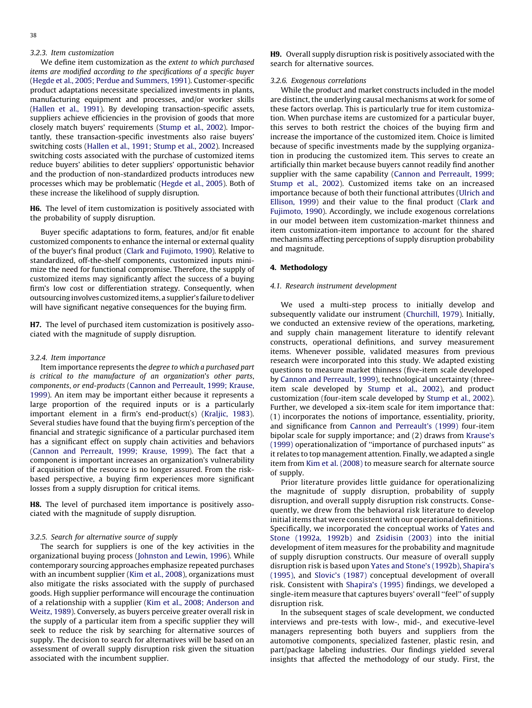# <span id="page-5-0"></span>3.2.3. Item customization

We define item customization as the extent to which purchased items are modified according to the specifications of a specific buyer (Hegde et al., 2005; Perdue and [Summers,](#page-12-0) 1991). Customer-specific product adaptations necessitate specialized investments in plants, manufacturing equipment and processes, and/or worker skills ([Hallen](#page-12-0) et al., 1991). By developing transaction-specific assets, suppliers achieve efficiencies in the provision of goods that more closely match buyers' requirements [\(Stump](#page-13-0) et al., 2002). Importantly, these transaction-specific investments also raise buyers' switching costs (Hallen et al., 1991; [Stump](#page-12-0) et al., 2002). Increased switching costs associated with the purchase of customized items reduce buyers' abilities to deter suppliers' opportunistic behavior and the production of non-standardized products introduces new processes which may be problematic ([Hegde](#page-12-0) et al., 2005). Both of these increase the likelihood of supply disruption.

H6. The level of item customization is positively associated with the probability of supply disruption.

Buyer specific adaptations to form, features, and/or fit enable customized components to enhance the internal or external quality of the buyer's final product (Clark and [Fujimoto,](#page-12-0) 1990). Relative to standardized, off-the-shelf components, customized inputs minimize the need for functional compromise. Therefore, the supply of customized items may significantly affect the success of a buying firm's low cost or differentiation strategy. Consequently, when outsourcing involves customizeditems, a supplier's failure todeliver will have significant negative consequences for the buying firm.

H7. The level of purchased item customization is positively associated with the magnitude of supply disruption.

#### 3.2.4. Item importance

Item importance represents the degree to which a purchased part is critical to the manufacture of an organization's other parts, components, or end-products (Cannon and [Perreault,](#page-12-0) 1999; Krause, [1999](#page-12-0)). An item may be important either because it represents a large proportion of the required inputs or is a particularly important element in a firm's end-product(s) ([Kraljic,](#page-12-0) 1983). Several studies have found that the buying firm's perception of the financial and strategic significance of a particular purchased item has a significant effect on supply chain activities and behaviors (Cannon and [Perreault,](#page-12-0) 1999; Krause, 1999). The fact that a component is important increases an organization's vulnerability if acquisition of the resource is no longer assured. From the riskbased perspective, a buying firm experiences more significant losses from a supply disruption for critical items.

H8. The level of purchased item importance is positively associated with the magnitude of supply disruption.

# 3.2.5. Search for alternative source of supply

The search for suppliers is one of the key activities in the organizational buying process [\(Johnston](#page-12-0) and Lewin, 1996). While contemporary sourcing approaches emphasize repeated purchases with an incumbent supplier (Kim et al., [2008](#page-12-0)), organizations must also mitigate the risks associated with the supply of purchased goods. High supplier performance will encourage the continuation of a relationship with a supplier (Kim et al., 2008; [Anderson](#page-12-0) and [Weitz,](#page-12-0) 1989). Conversely, as buyers perceive greater overall risk in the supply of a particular item from a specific supplier they will seek to reduce the risk by searching for alternative sources of supply. The decision to search for alternatives will be based on an assessment of overall supply disruption risk given the situation associated with the incumbent supplier.

H9. Overall supply disruption risk is positively associated with the search for alternative sources.

# 3.2.6. Exogenous correlations

While the product and market constructs included in the model are distinct, the underlying causal mechanisms at work for some of these factors overlap. This is particularly true for item customization. When purchase items are customized for a particular buyer, this serves to both restrict the choices of the buying firm and increase the importance of the customized item. Choice is limited because of specific investments made by the supplying organization in producing the customized item. This serves to create an artificially thin market because buyers cannot readily find another supplier with the same capability (Cannon and [Perreault,](#page-12-0) 1999; [Stump](#page-12-0) et al., 2002). Customized items take on an increased importance because of both their functional attributes [\(Ulrich](#page-13-0) and [Ellison,](#page-13-0) 1999) and their value to the final product [\(Clark](#page-12-0) and [Fujimoto,](#page-12-0) 1990). Accordingly, we include exogenous correlations in our model between item customization-market thinness and item customization-item importance to account for the shared mechanisms affecting perceptions of supply disruption probability and magnitude.

#### 4. Methodology

# 4.1. Research instrument development

We used a multi-step process to initially develop and subsequently validate our instrument [\(Churchill,](#page-12-0) 1979). Initially, we conducted an extensive review of the operations, marketing, and supply chain management literature to identify relevant constructs, operational definitions, and survey measurement items. Whenever possible, validated measures from previous research were incorporated into this study. We adapted existing questions to measure market thinness (five-item scale developed by Cannon and [Perreault,](#page-12-0) 1999), technological uncertainty (threeitem scale developed by [Stump](#page-13-0) et al., 2002), and product customization (four-item scale developed by [Stump](#page-13-0) et al., 2002). Further, we developed a six-item scale for item importance that: (1) incorporates the notions of importance, essentiality, priority, and significance from Cannon and [Perreault's](#page-12-0) (1999) four-item bipolar scale for supply importance; and (2) draws from [Krause's](#page-12-0) [\(1999\)](#page-12-0) operationalization of ''importance of purchased inputs'' as it relates to top management attention. Finally, we adapted a single item from Kim et al. [\(2008\)](#page-12-0) to measure search for alternate source of supply.

Prior literature provides little guidance for operationalizing the magnitude of supply disruption, probability of supply disruption, and overall supply disruption risk constructs. Consequently, we drew from the behavioral risk literature to develop initial items that were consistent with our operational definitions. Specifically, we incorporated the conceptual works of [Yates](#page-13-0) and Stone [\(1992a,](#page-13-0) 1992b) and [Zsidisin](#page-13-0) (2003) into the initial development of item measures for the probability and magnitude of supply disruption constructs. Our measure of overall supply disruption risk is based upon Yates and Stone's [\(1992b\),](#page-13-0) [Shapira's](#page-12-0) [\(1995\),](#page-12-0) and [Slovic's](#page-13-0) (1987) conceptual development of overall risk. Consistent with [Shapira's](#page-12-0) (1995) findings, we developed a single-item measure that captures buyers' overall ''feel'' of supply disruption risk.

In the subsequent stages of scale development, we conducted interviews and pre-tests with low-, mid-, and executive-level managers representing both buyers and suppliers from the automotive components, specialized fastener, plastic resin, and part/package labeling industries. Our findings yielded several insights that affected the methodology of our study. First, the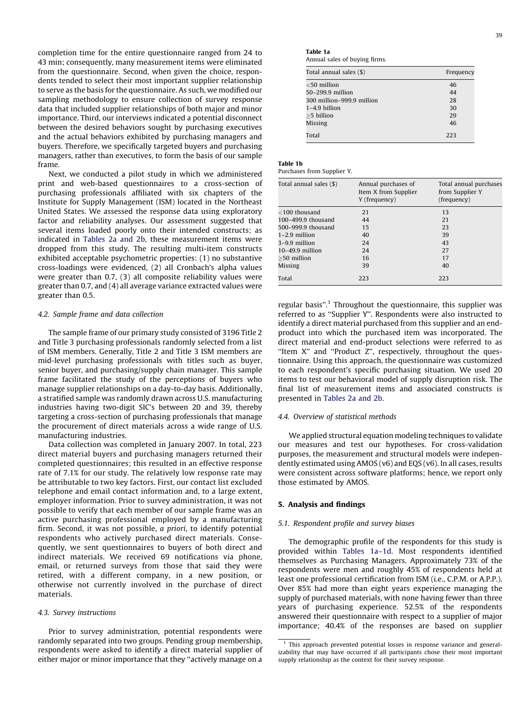completion time for the entire questionnaire ranged from 24 to 43 min; consequently, many measurement items were eliminated from the questionnaire. Second, when given the choice, respondents tended to select their most important supplier relationship to serve as the basis for the questionnaire. As such, we modified our sampling methodology to ensure collection of survey response data that included supplier relationships of both major and minor importance. Third, our interviews indicated a potential disconnect between the desired behaviors sought by purchasing executives and the actual behaviors exhibited by purchasing managers and buyers. Therefore, we specifically targeted buyers and purchasing managers, rather than executives, to form the basis of our sample frame.

Next, we conducted a pilot study in which we administered print and web-based questionnaires to a cross-section of purchasing professionals affiliated with six chapters of the Institute for Supply Management (ISM) located in the Northeast United States. We assessed the response data using exploratory factor and reliability analyses. Our assessment suggested that several items loaded poorly onto their intended constructs; as indicated in [Tables](#page-8-0) 2a and 2b, these measurement items were dropped from this study. The resulting multi-item constructs exhibited acceptable psychometric properties: (1) no substantive cross-loadings were evidenced, (2) all Cronbach's alpha values were greater than 0.7, (3) all composite reliability values were greater than 0.7, and (4) all average variance extracted values were greater than 0.5.

# 4.2. Sample frame and data collection

The sample frame of our primary study consisted of 3196 Title 2 and Title 3 purchasing professionals randomly selected from a list of ISM members. Generally, Title 2 and Title 3 ISM members are mid-level purchasing professionals with titles such as buyer, senior buyer, and purchasing/supply chain manager. This sample frame facilitated the study of the perceptions of buyers who manage supplier relationships on a day-to-day basis. Additionally, a stratified sample was randomly drawn across U.S. manufacturing industries having two-digit SIC's between 20 and 39, thereby targeting a cross-section of purchasing professionals that manage the procurement of direct materials across a wide range of U.S. manufacturing industries.

Data collection was completed in January 2007. In total, 223 direct material buyers and purchasing managers returned their completed questionnaires; this resulted in an effective response rate of 7.1% for our study. The relatively low response rate may be attributable to two key factors. First, our contact list excluded telephone and email contact information and, to a large extent, employer information. Prior to survey administration, it was not possible to verify that each member of our sample frame was an active purchasing professional employed by a manufacturing firm. Second, it was not possible, a priori, to identify potential respondents who actively purchased direct materials. Consequently, we sent questionnaires to buyers of both direct and indirect materials. We received 69 notifications via phone, email, or returned surveys from those that said they were retired, with a different company, in a new position, or otherwise not currently involved in the purchase of direct materials.

# 4.3. Survey instructions

Prior to survey administration, potential respondents were randomly separated into two groups. Pending group membership, respondents were asked to identify a direct material supplier of either major or minor importance that they ''actively manage on a

Annual sales of buying firms.

| Total annual sales (\$)   | Frequency |
|---------------------------|-----------|
| $<$ 50 million            | 46        |
| 50-299.9 million          | 44        |
| 300 million-999.9 million | 28        |
| $1-4.9$ billion           | 30        |
| >5 billion                | 29        |
| Missing                   | 46        |
| Total                     | 223       |

| o m | н<br>on the<br>۰.<br>× |  |
|-----|------------------------|--|
|     |                        |  |

| Purchases from Supplier Y. |  |  |  |
|----------------------------|--|--|--|
|----------------------------|--|--|--|

Table 1a

| Total annual sales (\$) | Annual purchases of<br>Item X from Supplier<br>Y (frequency) | Total annual purchases<br>from Supplier Y<br>(frequency) |
|-------------------------|--------------------------------------------------------------|----------------------------------------------------------|
| $<$ 100 thousand        | 21                                                           | 13                                                       |
| $100 - 499.9$ thousand  | 44                                                           | 21                                                       |
| 500-999.9 thousand      | 15                                                           | 23                                                       |
| $1-2.9$ million         | 40                                                           | 39                                                       |
| 3–9.9 million           | 24                                                           | 43                                                       |
| $10-49.9$ million       | 24                                                           | 27                                                       |
| $>50$ million           | 16                                                           | 17                                                       |
| Missing                 | 39                                                           | 40                                                       |
| Total                   | 223                                                          | 223                                                      |

regular basis".<sup>1</sup> Throughout the questionnaire, this supplier was referred to as ''Supplier Y''. Respondents were also instructed to identify a direct material purchased from this supplier and an endproduct into which the purchased item was incorporated. The direct material and end-product selections were referred to as ''Item X'' and ''Product Z'', respectively, throughout the questionnaire. Using this approach, the questionnaire was customized to each respondent's specific purchasing situation. We used 20 items to test our behavioral model of supply disruption risk. The final list of measurement items and associated constructs is presented in [Tables](#page-8-0) 2a and 2b.

# 4.4. Overview of statistical methods

We applied structural equation modeling techniques to validate our measures and test our hypotheses. For cross-validation purposes, the measurement and structural models were independently estimated using AMOS (v6) and EQS (v6). In all cases, results were consistent across software platforms; hence, we report only those estimated by AMOS.

# 5. Analysis and findings

# 5.1. Respondent profile and survey biases

The demographic profile of the respondents for this study is provided within Tables 1a–1d. Most respondents identified themselves as Purchasing Managers. Approximately 73% of the respondents were men and roughly 45% of respondents held at least one professional certification from ISM (i.e., C.P.M. or A.P.P.). Over 85% had more than eight years experience managing the supply of purchased materials, with none having fewer than three years of purchasing experience. 52.5% of the respondents answered their questionnaire with respect to a supplier of major importance; 40.4% of the responses are based on supplier

 $1$  This approach prevented potential losses in response variance and generalizability that may have occurred if all participants chose their most important supply relationship as the context for their survey response.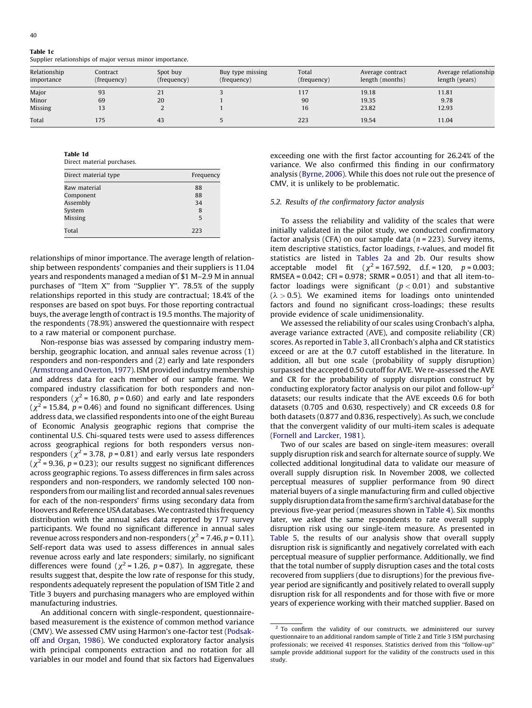Table 1c Supplier relationships of major versus minor importance.

| Relationship | Contract    | Spot buy    | Buy type missing | Total       | Average contract | Average relationship |
|--------------|-------------|-------------|------------------|-------------|------------------|----------------------|
| importance   | (frequency) | (frequency) | (frequency)      | (frequency) | length (months)  | length (years)       |
| Major        | 93          | 21          |                  | 117         | 19.18            | 11.81                |
| Minor        | 69          | 20          |                  | 90          | 19.35            | 9.78                 |
| Missing      |             |             |                  | 16          | 23.82            | 12.93                |
| Total        | 175         | 43          |                  | 223         | 19.54            | 11.04                |

Table 1d

| Direct material purchases. |
|----------------------------|
|                            |

| Direct material type | Frequency |
|----------------------|-----------|
| Raw material         | 88        |
| Component            | 88        |
| Assembly             | 34        |
| System               | 8         |
| Missing              | 5         |
| Total                | 223       |

relationships of minor importance. The average length of relationship between respondents' companies and their suppliers is 11.04 years and respondents managed a median of \$1 M–2.9 M in annual purchases of "Item X" from "Supplier Y". 78.5% of the supply relationships reported in this study are contractual; 18.4% of the responses are based on spot buys. For those reporting contractual buys, the average length of contract is 19.5 months. The majority of the respondents (78.9%) answered the questionnaire with respect to a raw material or component purchase.

Non-response bias was assessed by comparing industry membership, geographic location, and annual sales revenue across (1) responders and non-responders and (2) early and late responders ([Armstrong](#page-12-0) and Overton, 1977). ISM provided industry membership and address data for each member of our sample frame. We compared industry classification for both responders and nonresponders ( $\chi^2$  = 16.80, p = 0.60) and early and late responders  $(\chi^2 = 15.84, p = 0.46)$  and found no significant differences. Using address data, we classified respondents into one of the eight Bureau of Economic Analysis geographic regions that comprise the continental U.S. Chi-squared tests were used to assess differences across geographical regions for both responders versus nonresponders ( $\chi^2$  = 3.78, p = 0.81) and early versus late responders ( $\chi^2$  = 9.36, p = 0.23); our results suggest no significant differences across geographic regions. To assess differences in firm sales across responders and non-responders, we randomly selected 100 nonresponders from our mailing list and recorded annual sales revenues for each of the non-responders' firms using secondary data from Hoovers and Reference USA databases. We contrasted this frequency distribution with the annual sales data reported by 177 survey participants. We found no significant difference in annual sales revenue across responders and non-responders ( $\chi^2$  = 7.46, p = 0.11). Self-report data was used to assess differences in annual sales revenue across early and late responders; similarly, no significant differences were found ( $\chi^2$  = 1.26, p = 0.87). In aggregate, these results suggest that, despite the low rate of response for this study, respondents adequately represent the population of ISM Title 2 and Title 3 buyers and purchasing managers who are employed within manufacturing industries.

An additional concern with single-respondent, questionnairebased measurement is the existence of common method variance (CMV). We assessed CMV using Harmon's one-factor test ([Podsak](#page-12-0)off and [Organ,](#page-12-0) 1986). We conducted exploratory factor analysis with principal components extraction and no rotation for all variables in our model and found that six factors had Eigenvalues exceeding one with the first factor accounting for 26.24% of the variance. We also confirmed this finding in our confirmatory analysis [\(Byrne,](#page-12-0) 2006). While this does not rule out the presence of CMV, it is unlikely to be problematic.

# 5.2. Results of the confirmatory factor analysis

To assess the reliability and validity of the scales that were initially validated in the pilot study, we conducted confirmatory factor analysis (CFA) on our sample data ( $n = 223$ ). Survey items, item descriptive statistics, factor loadings, t-values, and model fit statistics are listed in [Tables](#page-8-0) 2a and 2b. Our results show acceptable model fit  $(\chi^2 = 167.592, d.f. = 120, p = 0.003;$ RMSEA = 0.042; CFI = 0.978; SRMR = 0.051) and that all item-tofactor loadings were significant  $(p < 0.01)$  and substantive  $(\lambda > 0.5)$ . We examined items for loadings onto unintended factors and found no significant cross-loadings; these results provide evidence of scale unidimensionality.

We assessed the reliability of our scales using Cronbach's alpha, average variance extracted (AVE), and composite reliability (CR) scores. As reported in [Table](#page-9-0) 3, all Cronbach's alpha and CR statistics exceed or are at the 0.7 cutoff established in the literature. In addition, all but one scale (probability of supply disruption) surpassed the accepted 0.50 cutoff for AVE. We re-assessed the AVE and CR for the probability of supply disruption construct by conducting exploratory factor analysis on our pilot and follow-up<sup>2</sup> datasets; our results indicate that the AVE exceeds 0.6 for both datasets (0.705 and 0.630, respectively) and CR exceeds 0.8 for both datasets (0.877 and 0.836, respectively). As such, we conclude that the convergent validity of our multi-item scales is adequate (Fornell and [Larcker,](#page-12-0) 1981).

Two of our scales are based on single-item measures: overall supply disruption risk and search for alternate source of supply. We collected additional longitudinal data to validate our measure of overall supply disruption risk. In November 2008, we collected perceptual measures of supplier performance from 90 direct material buyers of a single manufacturing firm and culled objective supply disruption data from the same firm's archival database for the previous five-year period (measures shown in [Table](#page-9-0) 4). Six months later, we asked the same respondents to rate overall supply disruption risk using our single-item measure. As presented in [Table](#page-9-0) 5, the results of our analysis show that overall supply disruption risk is significantly and negatively correlated with each perceptual measure of supplier performance. Additionally, we find that the total number of supply disruption cases and the total costs recovered from suppliers (due to disruptions) for the previous fiveyear period are significantly and positively related to overall supply disruption risk for all respondents and for those with five or more years of experience working with their matched supplier. Based on

 $\frac{2}{10}$  To confirm the validity of our constructs, we administered our survey questionnaire to an additional random sample of Title 2 and Title 3 ISM purchasing professionals; we received 41 responses. Statistics derived from this ''follow-up'' sample provide additional support for the validity of the constructs used in this study.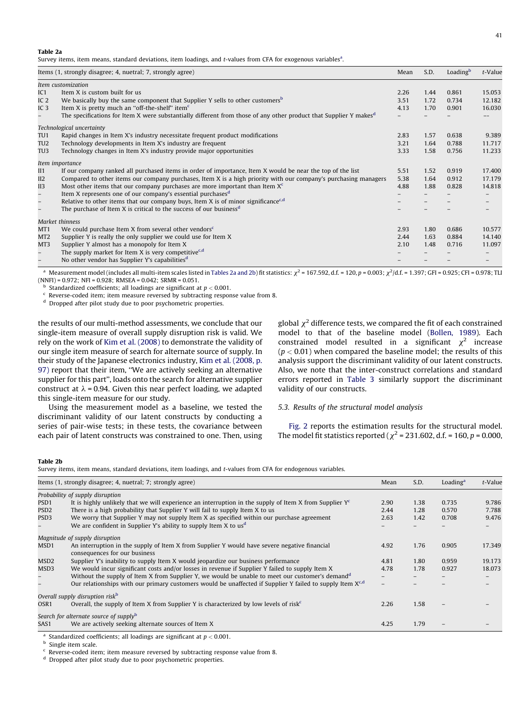<span id="page-8-0"></span>Survey items, item means, standard deviations, item loadings, and t-values from CFA for exogenous variables<sup>a</sup>.

|                          | Items (1, strongly disagree; 4, nuetral; 7, strongly agree)                                                                   | Mean | S.D. | Loading <sup>b</sup> | t-Value |
|--------------------------|-------------------------------------------------------------------------------------------------------------------------------|------|------|----------------------|---------|
|                          | Item customization                                                                                                            |      |      |                      |         |
| IC1                      | Item X is custom built for us                                                                                                 | 2.26 | 1.44 | 0.861                | 15.053  |
| IC $2$                   | We basically buy the same component that Supplier Y sells to other customers <sup>b</sup>                                     | 3.51 | 1.72 | 0.734                | 12.182  |
| IC <sub>3</sub>          | Item X is pretty much an "off-the-shelf" item <sup>c</sup>                                                                    | 4.13 | 1.70 | 0.901                | 16.030  |
| -                        | The specifications for Item X were substantially different from those of any other product that Supplier Y makes <sup>d</sup> |      |      |                      |         |
|                          | Technological uncertainty                                                                                                     |      |      |                      |         |
| TU1                      | Rapid changes in Item X's industry necessitate frequent product modifications                                                 | 2.83 | 1.57 | 0.638                | 9.389   |
| TU <sub>2</sub>          | Technology developments in Item X's industry are frequent                                                                     | 3.21 | 1.64 | 0.788                | 11.717  |
| TU3                      | Technology changes in Item X's industry provide major opportunities                                                           | 3.33 | 1.58 | 0.756                | 11.233  |
|                          | Item importance                                                                                                               |      |      |                      |         |
| II1                      | If our company ranked all purchased items in order of importance, Item X would be near the top of the list                    | 5.51 | 1.52 | 0.919                | 17.400  |
| II2                      | Compared to other items our company purchases, Item X is a high priority with our company's purchasing managers               | 5.38 | 1.64 | 0.912                | 17.179  |
| II3                      | Most other items that our company purchases are more important than Item $Xc$                                                 | 4.88 | 1.88 | 0.828                | 14.818  |
| $-$                      | Item X represents one of our company's essential purchases <sup>d</sup>                                                       |      |      |                      |         |
| $\overline{\phantom{a}}$ | Relative to other items that our company buys, Item X is of minor significance <sup>c,d</sup>                                 |      |      |                      |         |
| $-$                      | The purchase of Item X is critical to the success of our business <sup>d</sup>                                                |      |      |                      |         |
|                          | Market thinness                                                                                                               |      |      |                      |         |
| MT1                      | We could purchase Item X from several other vendors <sup>c</sup>                                                              | 2.93 | 1.80 | 0.686                | 10.577  |
| MT <sub>2</sub>          | Supplier Y is really the only supplier we could use for Item X                                                                | 2.44 | 1.63 | 0.884                | 14.140  |
| MT3                      | Supplier Y almost has a monopoly for Item X                                                                                   | 2.10 | 1.48 | 0.716                | 11.097  |
| $-$                      | The supply market for Item X is very competitive <sup>c,d</sup>                                                               |      |      |                      |         |
|                          | No other vendor has Supplier Y's capabilities <sup>d</sup>                                                                    |      |      |                      |         |

 $^{\rm a}$  Measurement model (includes all multi-item scales listed in Tables 2a and 2b) fit statistics:  $\chi^2$  = 167.592, d.f. = 120, p = 0.003;  $\chi^2/{\rm d.f.}$  = 1.397; GFI = 0.925; CFI = 0.978; TLI (NNFI) = 0.972; NFI = 0.928; RMSEA = 0.042; SRMR = 0.051.

Standardized coefficients; all loadings are significant at  $p < 0.001$ .

c Reverse-coded item; item measure reversed by subtracting response value from 8.

<sup>d</sup> Dropped after pilot study due to poor psychometric properties.

the results of our multi-method assessments, we conclude that our single-item measure of overall supply disruption risk is valid. We rely on the work of Kim et al. [\(2008\)](#page-12-0) to demonstrate the validity of our single item measure of search for alternate source of supply. In their study of the Japanese electronics industry, Kim et al. [\(2008,](#page-12-0) p. [97\)](#page-12-0) report that their item, ''We are actively seeking an alternative supplier for this part'', loads onto the search for alternative supplier construct at  $\lambda$  = 0.94. Given this near perfect loading, we adapted this single-item measure for our study.

Using the measurement model as a baseline, we tested the discriminant validity of our latent constructs by conducting a series of pair-wise tests; in these tests, the covariance between each pair of latent constructs was constrained to one. Then, using global  $\chi^2$  difference tests, we compared the fit of each constrained model to that of the baseline model ([Bollen,](#page-12-0) 1989). Each constrained model resulted in a significant  $\chi^2$  increase  $(p < 0.01)$  when compared the baseline model; the results of this analysis support the discriminant validity of our latent constructs. Also, we note that the inter-construct correlations and standard errors reported in [Table](#page-9-0) 3 similarly support the discriminant validity of our constructs.

# 5.3. Results of the structural model analysis

[Fig.](#page-10-0) 2 reports the estimation results for the structural model. The model fit statistics reported ( $\chi^2$  = 231.602, d.f. = 160, p = 0.000,

#### Table 2b

Survey items, item means, standard deviations, item loadings, and t-values from CFA for endogenous variables.

|                  | Items (1, strongly disagree; 4, nuetral; 7; strongly agree)                                                                   | Mean | S.D. | Loading <sup>a</sup> | t-Value |
|------------------|-------------------------------------------------------------------------------------------------------------------------------|------|------|----------------------|---------|
|                  | Probability of supply disruption                                                                                              |      |      |                      |         |
| PSD1             | It is highly unlikely that we will experience an interruption in the supply of Item X from Supplier $Y^c$                     | 2.90 | 1.38 | 0.735                | 9.786   |
| PSD <sub>2</sub> | There is a high probability that Supplier Y will fail to supply Item X to us                                                  | 2.44 | 1.28 | 0.570                | 7.788   |
| PSD <sub>3</sub> | We worry that Supplier Y may not supply Item X as specified within our purchase agreement                                     | 2.63 | 1.42 | 0.708                | 9.476   |
|                  | We are confident in Supplier Y's ability to supply Item X to us <sup>d</sup>                                                  |      |      |                      |         |
|                  | Magnitude of supply disruption                                                                                                |      |      |                      |         |
| MSD1             | An interruption in the supply of Item X from Supplier Y would have severe negative financial<br>consequences for our business | 4.92 | 1.76 | 0.905                | 17.349  |
| MSD <sub>2</sub> | Supplier Y's inability to supply Item X would jeopardize our business performance                                             | 4.81 | 1.80 | 0.959                | 19.173  |
| MSD3             | We would incur significant costs and/or losses in revenue if Supplier Y failed to supply Item X                               | 4.78 | 1.78 | 0.927                | 18.073  |
|                  | Without the supply of Item X from Supplier Y, we would be unable to meet our customer's demand <sup>d</sup>                   |      |      |                      |         |
| $-$              | Our relationships with our primary customers would be unaffected if Supplier Y failed to supply Item X <sup>c,d</sup>         |      |      |                      |         |
|                  | Overall supply disruption risk <sup>b</sup>                                                                                   |      |      |                      |         |
| OSR1             | Overall, the supply of Item X from Supplier Y is characterized by low levels of risk <sup><math>c</math></sup>                | 2.26 | 1.58 |                      |         |
|                  | Search for alternate source of supply <sup>b</sup>                                                                            |      |      |                      |         |
| SAS1             | We are actively seeking alternate sources of Item X                                                                           | 4.25 | 1.79 |                      |         |

rdized coefficients; all loadings are significant at  $p < 0.001$ .

**b** Single item scale.

Reverse-coded item; item measure reversed by subtracting response value from 8. c

<sup>d</sup> Dropped after pilot study due to poor psychometric properties.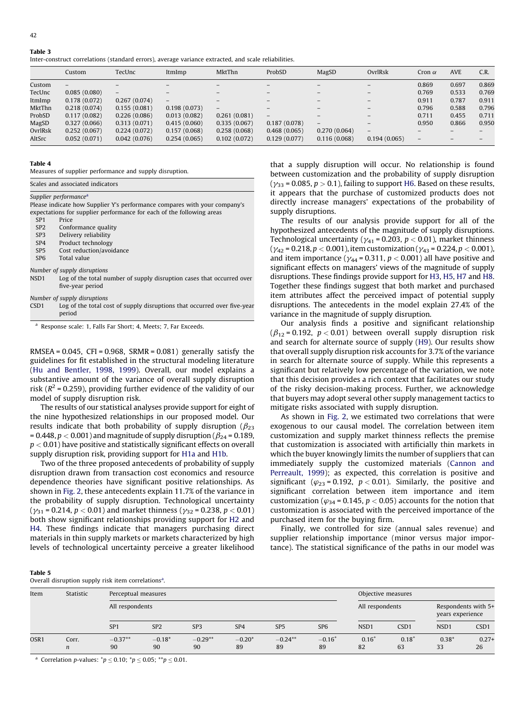<span id="page-9-0"></span>

| Fable |  |
|-------|--|
|       |  |

Inter-construct correlations (standard errors), average variance extracted, and scale reliabilities.

|         | Custom       | TecUnc                   | ItmImp            | MktThn                   | ProbSD            | MagSD                    | OvrlRsk                  | Cron $\alpha$            | <b>AVE</b> | C.R.            |
|---------|--------------|--------------------------|-------------------|--------------------------|-------------------|--------------------------|--------------------------|--------------------------|------------|-----------------|
| Custom  |              |                          |                   |                          |                   |                          |                          | 0.869                    | 0.697      | 0.869           |
| TecUnc  | 0.085(0.080) | $\overline{\phantom{0}}$ |                   | -                        | $\qquad \qquad -$ | $\overline{\phantom{m}}$ | -                        | 0.769                    | 0.533      | 0.769           |
| ItmImp  | 0.178(0.072) | 0.267(0.074)             | $\qquad \qquad -$ | -                        | $\qquad \qquad -$ | $\qquad \qquad -$        | $\qquad \qquad -$        | 0.911                    | 0.787      | 0.911           |
| MktThn  | 0.218(0.074) | 0.155(0.081)             | 0.198(0.073)      | $\overline{\phantom{m}}$ | $-$               | $\qquad \qquad -$        | $\overline{\phantom{m}}$ | 0.796                    | 0.588      | 0.796           |
| ProbSD  | 0.117(0.082) | 0.226(0.086)             | 0.013(0.082)      | 0.261(0.081)             | $\qquad \qquad -$ | $\qquad \qquad -$        | $\qquad \qquad -$        | 0.711                    | 0.455      | 0.711           |
| MagSD   | 0.327(0.066) | 0.313(0.071)             | 0.415(0.060)      | 0.335(0.067)             | 0.187(0.078)      | $\overline{\phantom{a}}$ | $\overline{\phantom{0}}$ | 0.950                    | 0.866      | 0.950           |
| OvrlRsk | 0.252(0.067) | 0.224(0.072)             | 0.157(0.068)      | 0.258(0.068)             | 0.468(0.065)      | 0.270(0.064)             | $\overline{\phantom{0}}$ |                          |            |                 |
| AltSrc  | 0.052(0.071) | 0.042(0.076)             | 0.254(0.065)      | 0.102(0.072)             | 0.129(0.077)      | 0.116(0.068)             | 0.194(0.065)             | $\overline{\phantom{m}}$ |            | $\qquad \qquad$ |

#### Table 4

Measures of supplier performance and supply disruption.

| Scales and associated indicators                                                 |
|----------------------------------------------------------------------------------|
| Supplier performance <sup>a</sup>                                                |
| Please indicate how Supplier Y's performance compares with your company's        |
| expectations for supplier performance for each of the following areas            |
| Price<br>SP <sub>1</sub>                                                         |
| SP <sub>2</sub><br>Conformance quality                                           |
| Delivery reliability<br>SP <sub>3</sub>                                          |
| Product technology<br>SP <sub>4</sub>                                            |
| Cost reduction/avoidance<br>SP <sub>5</sub>                                      |
| Total value<br>SP <sub>6</sub>                                                   |
| Number of supply disruptions                                                     |
| NSD1<br>Log of the total number of supply disruption cases that occurred over    |
| five-year period                                                                 |
| Number of supply disruptions                                                     |
| Log of the total cost of supply disruptions that occurred over five-year<br>CSD1 |
| period                                                                           |

<sup>a</sup> Response scale: 1, Falls Far Short; 4, Meets; 7, Far Exceeds.

RMSEA =  $0.045$ , CFI =  $0.968$ , SRMR =  $0.081$ ) generally satisfy the guidelines for fit established in the structural modeling literature (Hu and [Bentler,](#page-12-0) 1998, 1999). Overall, our model explains a substantive amount of the variance of overall supply disruption risk ( $R^2$  = 0.259), providing further evidence of the validity of our model of supply disruption risk.

The results of our statistical analyses provide support for eight of the nine hypothesized relationships in our proposed model. Our results indicate that both probability of supply disruption ( $\beta_{23}$ ) = 0.448,  $p < 0.001$ ) and magnitude of supply disruption ( $\beta_{24}$  = 0.189,  $p < 0.01$ ) have positive and statistically significant effects on overall supply disruption risk, providing support for [H1a](#page-4-0) and [H1b](#page-4-0).

Two of the three proposed antecedents of probability of supply disruption drawn from transaction cost economics and resource dependence theories have significant positive relationships. As shown in [Fig.](#page-10-0) 2, these antecedents explain 11.7% of the variance in the probability of supply disruption. Technological uncertainty ( $\gamma_{31}$  = 0.214,  $p < 0.01$ ) and market thinness ( $\gamma_{32}$  = 0.238,  $p < 0.01$ ) both show significant relationships providing support for [H2](#page-4-0) and [H4.](#page-4-0) These findings indicate that managers purchasing direct materials in thin supply markets or markets characterized by high levels of technological uncertainty perceive a greater likelihood that a supply disruption will occur. No relationship is found between customization and the probability of supply disruption  $g_{33}$  = 0.085,  $p > 0.1$ ), failing to support [H6.](#page-5-0) Based on these results, appears that the purchase of customized products does not rectly increase managers' expectations of the probability of pply disruptions.

The results of our analysis provide support for all of the pothesized antecedents of the magnitude of supply disruptions. echnological uncertainty ( $\gamma_{41}$  = 0.203,  $p < 0.01$ ), market thinness  $y_{42}$  = 0.218,  $p < 0.001$  ), item customization (  $y_{43}$  = 0.224,  $p < 0.001$  ), and item importance ( $\gamma_{44}$  = 0.311,  $p < 0.001$ ) all have positive and significant effects on managers' views of the magnitude of supply sruptions. These findings provide support for [H3](#page-4-0), [H5](#page-4-0), [H7](#page-5-0) and [H8.](#page-5-0) gether these findings suggest that both market and purchased em attributes affect the perceived impact of potential supply sruptions. The antecedents in the model explain 27.4% of the itriance in the magnitude of supply disruption.

Our analysis finds a positive and significant relationship  $(\beta_{12} = 0.192, p < 0.01)$  between overall supply disruption risk and search for alternate source of supply [\(H9](#page-5-0)). Our results show that overall supply disruption risk accounts for 3.7% of the variance in search for alternate source of supply. While this represents a significant but relatively low percentage of the variation, we note that this decision provides a rich context that facilitates our study of the risky decision-making process. Further, we acknowledge that buyers may adopt several other supply management tactics to mitigate risks associated with supply disruption.

As shown in [Fig.](#page-10-0) 2, we estimated two correlations that were exogenous to our causal model. The correlation between item customization and supply market thinness reflects the premise that customization is associated with artificially thin markets in which the buyer knowingly limits the number of suppliers that can immediately supply the customized materials [\(Cannon](#page-12-0) and [Perreault,](#page-12-0) 1999); as expected, this correlation is positive and significant ( $\varphi_{23}$  = 0.192,  $p < 0.01$ ). Similarly, the positive and significant correlation between item importance and item customization ( $\varphi_{34}$  = 0.145,  $p < 0.05$ ) accounts for the notion that customization is associated with the perceived importance of the purchased item for the buying firm.

Finally, we controlled for size (annual sales revenue) and supplier relationship importance (minor versus major importance). The statistical significance of the paths in our model was

# Table 5

Overall disruption supply risk item correlations<sup>a</sup>.

| Item | Statistic                 | Perceptual measures<br>All respondents |                 |                 |                 |                 |                   | Objective measures |                  |                                         |                  |
|------|---------------------------|----------------------------------------|-----------------|-----------------|-----------------|-----------------|-------------------|--------------------|------------------|-----------------------------------------|------------------|
|      |                           |                                        |                 |                 |                 |                 |                   | All respondents    |                  | Respondents with 5+<br>years experience |                  |
|      |                           | SP <sub>1</sub>                        | SP <sub>2</sub> | SP <sub>3</sub> | SP <sub>4</sub> | SP <sub>5</sub> | SP <sub>6</sub>   | NSD1               | CSD <sub>1</sub> | NSD <sub>1</sub>                        | CSD <sub>1</sub> |
| OSR1 | Corr.<br>$\boldsymbol{n}$ | $-0.37**$<br>90                        | $-0.18*$<br>90  | $-0.29**$<br>90 | $-0.20*$<br>89  | $-0.24**$<br>89 | $-0.16^{+}$<br>89 | $0.16^{+}$<br>82   | $0.18^{+}$<br>63 | $0.38*$<br>33                           | $0.27+$<br>26    |

<sup>a</sup> Correlation p-values:  $^{*}p \le 0.10$ ;  $^{*}p \le 0.05$ ;  $^{**}p \le 0.01$ .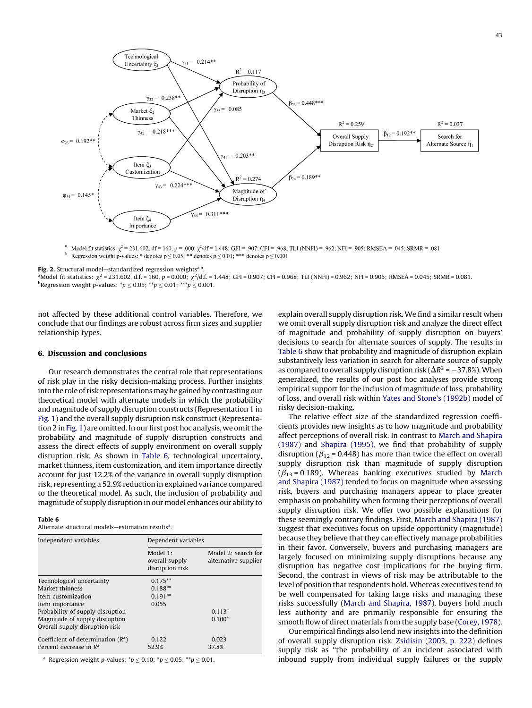<span id="page-10-0"></span>

<sup>a</sup> Model fit statistics:  $\chi^2 = 231.602$ , df = 160, p = .000;  $\chi^2$ /df = 1.448; GFI = .907; CFI = .968; TLI (NNFI) = .962; NFI = .905; RMSEA = .045; SRMR = .081 Regression weight p-values: \* denotes  $p \le 0.05$ ; \*\* denotes  $p \le 0.01$ ; \*\*\* denotes  $p \le 0.001$ 

Fig. 2. Structural model—standardized regression weights<sup>a,b</sup>.

**Fig. 2.** Structural model—standardized regression weights<sup>a.p</sup>.<br>ªModel fit statistics: χ² = 231.602, d.f. = 160, p = 0.000; χ²/d.f. = 1.448; GFI = 0.907; CFI = 0.968; TLI (NNFI) = 0.962; NFI = 0.905; RMSEA = 0.045; SRMR <sup>b</sup>Regression weight *p*-values:  $^{*}p \le 0.05$ ;  $^{**}p \le 0.01$ ;  $^{***}p \le 0.001$ .

not affected by these additional control variables. Therefore, we conclude that our findings are robust across firm sizes and supplier relationship types.

#### 6. Discussion and conclusions

Our research demonstrates the central role that representations of risk play in the risky decision-making process. Further insights into the role of risk representations may be gained by contrasting our theoretical model with alternate models in which the probability and magnitude of supply disruption constructs (Representation 1 in [Fig.](#page-3-0) 1) and the overall supply disruption risk construct (Representa-tion 2 in [Fig.](#page-3-0) 1) are omitted. In our first post hoc analysis, we omit the probability and magnitude of supply disruption constructs and assess the direct effects of supply environment on overall supply disruption risk. As shown in Table 6, technological uncertainty, market thinness, item customization, and item importance directly account for just 12.2% of the variance in overall supply disruption risk, representing a 52.9% reduction in explained variance compared to the theoretical model. As such, the inclusion of probability and magnitude of supply disruption in our model enhances our ability to

#### Table 6

Alternate structural models-estimation results<sup>a</sup>.

| Independent variables                                             | Dependent variables                           |                                             |  |  |  |  |
|-------------------------------------------------------------------|-----------------------------------------------|---------------------------------------------|--|--|--|--|
|                                                                   | Model 1:<br>overall supply<br>disruption risk | Model 2: search for<br>alternative supplier |  |  |  |  |
| Technological uncertainty                                         | $0.175***$                                    |                                             |  |  |  |  |
| Market thinness                                                   | $0.188**$                                     |                                             |  |  |  |  |
| Item customization                                                | $0.191**$                                     |                                             |  |  |  |  |
| Item importance                                                   | 0.055                                         |                                             |  |  |  |  |
| Probability of supply disruption                                  |                                               | $0.113^{+}$                                 |  |  |  |  |
| Magnitude of supply disruption<br>Overall supply disruption risk  |                                               | $0.100^{+}$                                 |  |  |  |  |
| Coefficient of determination $(R^2)$<br>Percent decrease in $R^2$ | 0.122<br>52.9%                                | 0.023<br>37.8%                              |  |  |  |  |

<sup>a</sup> Regression weight *p*-values:  $^{*}p \le 0.10$ ;  $^{*}p \le 0.05$ ;  $^{*}p \le 0.01$ .

explain overall supply disruption risk. We find a similar result when we omit overall supply disruption risk and analyze the direct effect of magnitude and probability of supply disruption on buyers' decisions to search for alternate sources of supply. The results in Table 6 show that probability and magnitude of disruption explain substantively less variation in search for alternate source of supply as compared to overall supply disruption risk ( $\Delta R^2$  = -37.8%). When generalized, the results of our post hoc analyses provide strong empirical support for the inclusion of magnitude of loss, probability of loss, and overall risk within Yates and Stone's [\(1992b\)](#page-13-0) model of risky decision-making.

The relative effect size of the standardized regression coefficients provides new insights as to how magnitude and probability affect perceptions of overall risk. In contrast to March and [Shapira](#page-12-0) [\(1987\)](#page-12-0) and [Shapira](#page-12-0) (1995), we find that probability of supply disruption ( $\beta_{12}$  = 0.448) has more than twice the effect on overall supply disruption risk than magnitude of supply disruption  $(\beta_{13} = 0.189)$ . Whereas banking executives studied by [March](#page-12-0) and [Shapira](#page-12-0) (1987) tended to focus on magnitude when assessing risk, buyers and purchasing managers appear to place greater emphasis on probability when forming their perceptions of overall supply disruption risk. We offer two possible explanations for these seemingly contrary findings. First, March and [Shapira](#page-12-0) (1987) suggest that executives focus on upside opportunity (magnitude) because they believe that they can effectively manage probabilities in their favor. Conversely, buyers and purchasing managers are largely focused on minimizing supply disruptions because any disruption has negative cost implications for the buying firm. Second, the contrast in views of risk may be attributable to the level of position that respondents hold. Whereas executives tend to be well compensated for taking large risks and managing these risks successfully (March and [Shapira,](#page-12-0) 1987), buyers hold much less authority and are primarily responsible for ensuring the smooth flow of direct materials from the supply base ([Corey,](#page-12-0) 1978).

Our empirical findings also lend new insights into the definition of overall supply disruption risk. [Zsidisin](#page-13-0) (2003, p. 222) defines supply risk as ''the probability of an incident associated with inbound supply from individual supply failures or the supply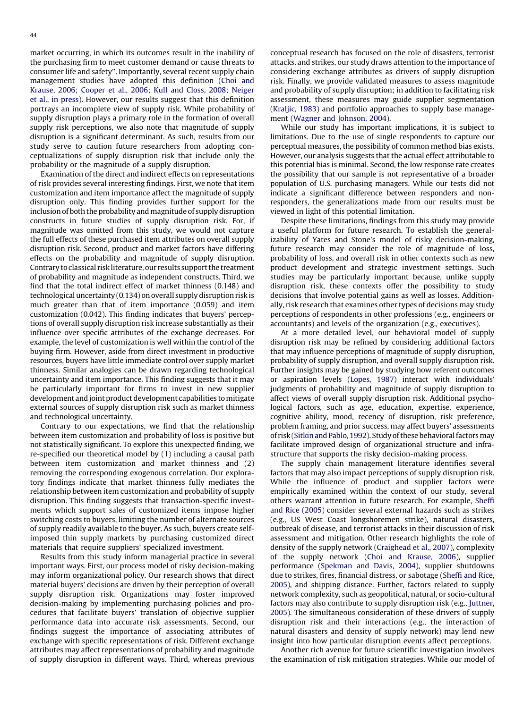market occurring, in which its outcomes result in the inability of the purchasing firm to meet customer demand or cause threats to consumer life and safety''. Importantly, several recent supply chain management studies have adopted this definition ([Choi](#page-12-0) and [Krause,](#page-12-0) 2006; Cooper et al., 2006; Kull and Closs, 2008; Neiger et al., in [press](#page-12-0)). However, our results suggest that this definition portrays an incomplete view of supply risk. While probability of supply disruption plays a primary role in the formation of overall supply risk perceptions, we also note that magnitude of supply disruption is a significant determinant. As such, results from our study serve to caution future researchers from adopting conceptualizations of supply disruption risk that include only the probability or the magnitude of a supply disruption.

Examination of the direct and indirect effects on representations of risk provides several interesting findings. First, we note that item customization and item importance affect the magnitude of supply disruption only. This finding provides further support for the inclusion of both the probability and magnitude of supply disruption constructs in future studies of supply disruption risk. For, if magnitude was omitted from this study, we would not capture the full effects of these purchased item attributes on overall supply disruption risk. Second, product and market factors have differing effects on the probability and magnitude of supply disruption. Contrary to classical risk literature, our results support the treatment of probability and magnitude as independent constructs. Third, we find that the total indirect effect of market thinness (0.148) and technological uncertainty (0.134) on overall supply disruption risk is much greater than that of item importance (0.059) and item customization (0.042). This finding indicates that buyers' perceptions of overall supply disruption risk increase substantially as their influence over specific attributes of the exchange decreases. For example, the level of customization is well within the control of the buying firm. However, aside from direct investment in productive resources, buyers have little immediate control over supply market thinness. Similar analogies can be drawn regarding technological uncertainty and item importance. This finding suggests that it may be particularly important for firms to invest in new supplier development and joint product development capabilities to mitigate external sources of supply disruption risk such as market thinness and technological uncertainty.

Contrary to our expectations, we find that the relationship between item customization and probability of loss is positive but not statistically significant. To explore this unexpected finding, we re-specified our theoretical model by (1) including a causal path between item customization and market thinness and (2) removing the corresponding exogenous correlation. Our exploratory findings indicate that market thinness fully mediates the relationship between item customization and probability of supply disruption. This finding suggests that transaction-specific investments which support sales of customized items impose higher switching costs to buyers, limiting the number of alternate sources of supply readily available to the buyer. As such, buyers create selfimposed thin supply markets by purchasing customized direct materials that require suppliers' specialized investment.

Results from this study inform managerial practice in several important ways. First, our process model of risky decision-making may inform organizational policy. Our research shows that direct material buyers' decisions are driven by their perception of overall supply disruption risk. Organizations may foster improved decision-making by implementing purchasing policies and procedures that facilitate buyers' translation of objective supplier performance data into accurate risk assessments. Second, our findings suggest the importance of associating attributes of exchange with specific representations of risk. Different exchange attributes may affect representations of probability and magnitude of supply disruption in different ways. Third, whereas previous

conceptual research has focused on the role of disasters, terrorist attacks, and strikes, our study draws attention to the importance of considering exchange attributes as drivers of supply disruption risk. Finally, we provide validated measures to assess magnitude and probability of supply disruption; in addition to facilitating risk assessment, these measures may guide supplier segmentation ([Kraljic,](#page-12-0) 1983) and portfolio approaches to supply base management (Wagner and [Johnson,](#page-13-0) 2004).

While our study has important implications, it is subject to limitations. Due to the use of single respondents to capture our perceptual measures, the possibility of common method bias exists. However, our analysis suggests that the actual effect attributable to this potential bias is minimal. Second, the low response rate creates the possibility that our sample is not representative of a broader population of U.S. purchasing managers. While our tests did not indicate a significant difference between responders and nonresponders, the generalizations made from our results must be viewed in light of this potential limitation.

Despite these limitations, findings from this study may provide a useful platform for future research. To establish the generalizability of Yates and Stone's model of risky decision-making, future research may consider the role of magnitude of loss, probability of loss, and overall risk in other contexts such as new product development and strategic investment settings. Such studies may be particularly important because, unlike supply disruption risk, these contexts offer the possibility to study decisions that involve potential gains as well as losses. Additionally, risk research that examines other types of decisions may study perceptions of respondents in other professions (e.g., engineers or accountants) and levels of the organization (e.g., executives).

At a more detailed level, our behavioral model of supply disruption risk may be refined by considering additional factors that may influence perceptions of magnitude of supply disruption, probability of supply disruption, and overall supply disruption risk. Further insights may be gained by studying how referent outcomes or aspiration levels [\(Lopes,](#page-12-0) 1987) interact with individuals' judgments of probability and magnitude of supply disruption to affect views of overall supply disruption risk. Additional psychological factors, such as age, education, expertise, experience, cognitive ability, mood, recency of disruption, risk preference, problem framing, and prior success, may affect buyers' assessments of risk (Sitkin and Pablo, 1992). Study of these behavioral factors may facilitate improved design of organizational structure and infrastructure that supports the risky decision-making process.

The supply chain management literature identifies several factors that may also impact perceptions of supply disruption risk. While the influence of product and supplier factors were empirically examined within the context of our study, several others warrant attention in future research. For example, [Sheffi](#page-12-0) and Rice [\(2005\)](#page-12-0) consider several external hazards such as strikes (e.g., US West Coast longshoremen strike), natural disasters, outbreak of disease, and terrorist attacks in their discussion of risk assessment and mitigation. Other research highlights the role of density of the supply network [\(Craighead](#page-12-0) et al., 2007), complexity of the supply network (Choi and [Krause,](#page-12-0) 2006), supplier performance [\(Spekman](#page-13-0) and Davis, 2004), supplier shutdowns due to strikes, fires, financial distress, or sabotage ([Sheffi](#page-12-0) and Rice, [2005\)](#page-12-0), and shipping distance. Further, factors related to supply network complexity, such as geopolitical, natural, or socio-cultural factors may also contribute to supply disruption risk (e.g., [Juttner,](#page-12-0) [2005\)](#page-12-0). The simultaneous consideration of these drivers of supply disruption risk and their interactions (e.g., the interaction of natural disasters and density of supply network) may lend new insight into how particular disruption events affect perceptions.

Another rich avenue for future scientific investigation involves the examination of risk mitigation strategies. While our model of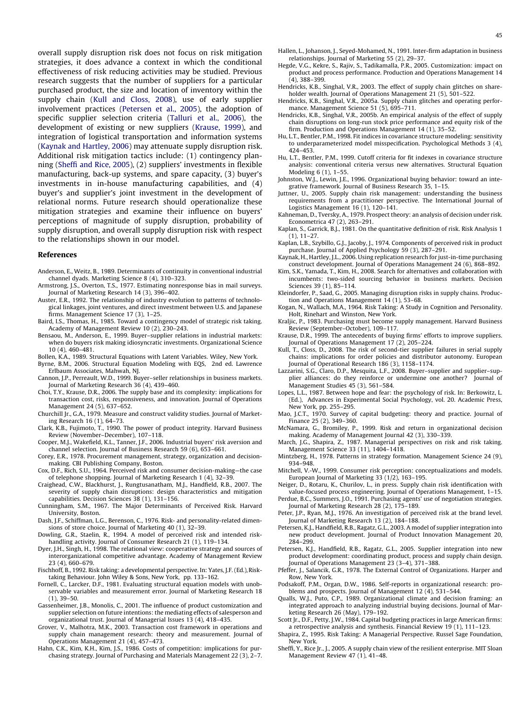<span id="page-12-0"></span>overall supply disruption risk does not focus on risk mitigation strategies, it does advance a context in which the conditional effectiveness of risk reducing activities may be studied. Previous research suggests that the number of suppliers for a particular purchased product, the size and location of inventory within the supply chain (Kull and Closs, 2008), use of early supplier involvement practices (Petersen et al., 2005), the adoption of specific supplier selection criteria [\(Talluri](#page-13-0) et al., 2006), the development of existing or new suppliers (Krause, 1999), and integration of logistical transportation and information systems (Kaynak and Hartley, 2006) may attenuate supply disruption risk. Additional risk mitigation tactics include: (1) contingency planning (Sheffi and Rice, 2005), (2) suppliers' investments in flexible manufacturing, back-up systems, and spare capacity, (3) buyer's investments in in-house manufacturing capabilities, and (4) buyer's and supplier's joint investment in the development of relational norms. Future research should operationalize these mitigation strategies and examine their influence on buyers' perceptions of magnitude of supply disruption, probability of supply disruption, and overall supply disruption risk with respect to the relationships shown in our model.

# References

- Anderson, E., Weitz, B., 1989. Determinants of continuity in conventional industrial channel dyads. Marketing Science 8 (4), 310–323.
- Armstrong, J.S., Overton, T.S., 1977. Estimating nonresponse bias in mail surveys. Journal of Marketing Research 14 (3), 396–402.
- Auster, E.R., 1992. The relationship of industry evolution to patterns of technological linkages, joint ventures, and direct investment between U.S. and Japanese firms. Management Science 17 (3), 1–25.
- Baird, I.S., Thomas, H., 1985. Toward a contingency model of strategic risk taking. Academy of Management Review 10 (2), 230–243.
- Bensaou, M., Anderson, E., 1999. Buyer–supplier relations in industrial markets: when do buyers risk making idiosyncratic investments. Organizational Science 10 (4), 460–481.
- Bollen, K.A., 1989. Structural Equations with Latent Variables. Wiley, New York.
- Byrne, B.M., 2006. Structural Equation Modeling with EQS, 2nd ed. Lawrence Erlbaum Associates, Mahwah, NJ.
- Cannon, J.P., Perreault, W.D., 1999. Buyer–seller relationships in business markets. Journal of Marketing Research 36 (4), 439–460.
- Choi, T.Y., Krause, D.R., 2006. The supply base and its complexity: implications for transaction cost, risks, responsiveness, and innovation. Journal of Operations Management 24 (5), 637–652.
- Churchill Jr., G.A., 1979. Measure and construct validity studies. Journal of Market-
- ing Research 16 (1), 64–73. Clark, K.B., Fujimoto, T., 1990. The power of product integrity. Harvard Business Review (November–December), 107–118.
- Cooper, M.J., Wakefield, K.L., Tanner, J.F., 2006. Industrial buyers' risk aversion and channel selection. Journal of Business Research 59 (6), 653–661.
- Corey, E.R., 1978. Procurement management, strategy, organization and decisionmaking. CBI Publishing Company, Boston.
- Cox, D.F., Rich, S.U., 1964. Perceived risk and consumer decision-making—the case of telephone shopping. Journal of Marketing Research 1 (4), 32–39.
- Craighead, C.W., Blackhurst, J., Rungtusanatham, M.J., Handfield, R.B., 2007. The severity of supply chain disruptions: design characteristics and mitigation capabilities. Decision Sciences 38 (1), 131–156.
- Cunningham, S.M., 1967. The Major Determinants of Perceived Risk. Harvard University, Boston.
- Dash, J.F., Schiffman, L.G., Berenson, C., 1976. Risk- and personality-related dimensions of store choice. Journal of Marketing 40 (1), 32–39.
- Dowling, G.R., Staelin, R., 1994. A model of perceived risk and intended riskhandling activity. Journal of Consumer Research 21 (1), 119–134.
- Dyer, J.H., Singh, H., 1998. The relational view: cooperative strategy and sources of interorganizational competitive advantage. Academy of Management Review 23 (4), 660–679.
- Fischhoff, B., 1992. Risk taking: a developmental perspective. In: Yates, J.F. (Ed.), Risktaking Behaviour. John Wiley & Sons, New York, pp. 133–162.
- Fornell, C., Larcker, D.F., 1981. Evaluating structural equation models with unobservable variables and measurement error. Journal of Marketing Research 18 (1), 39–50.
- Gassenheimer, J.B., Monolis, C., 2001. The influence of product customization and supplier selection on future intentions: the mediating effects of salesperson and organizational trust. Journal of Managerial Issues 13 (4), 418–435.
- Grover, V., Malhotra, M.K., 2003. Transaction cost framework in operations and supply chain management research: theory and measurement. Journal of Operations Management 21 (4), 457–473.
- Hahn, C.K., Kim, K.H., Kim, J.S., 1986. Costs of competition: implications for purchasing strategy. Journal of Purchasing and Materials Management 22 (3), 2–7.
- Hallen, L., Johanson, J., Seyed-Mohamed, N., 1991. Inter-firm adaptation in business relationships. Journal of Marketing 55 (2), 29–37.
- Hegde, V.G., Kekre, S., Rajiv, S., Tadikamalla, P.R., 2005. Customization: impact on product and process performance. Production and Operations Management 14 (4), 388–399.
- Hendricks, K.B., Singhal, V.R., 2003. The effect of supply chain glitches on shareholder wealth. Journal of Operations Management 21 (5), 501–522.
- Hendricks, K.B., Singhal, V.R., 2005a. Supply chain glitches and operating performance. Management Science 51 (5), 695–711.
- Hendricks, K.B., Singhal, V.R., 2005b. An empirical analysis of the effect of supply chain disruptions on long-run stock price performance and equity risk of the firm. Production and Operations Management 14 (1), 35–52.
- Hu, L.T., Bentler, P.M., 1998. Fit indices in covariance structure modeling: sensitivity to underparameterized model misspecification. Psychological Methods 3 (4), 424–453.
- Hu, L.T., Bentler, P.M., 1999. Cutoff criteria for fit indexes in covariance structure analysis: conventional criteria versus new alternatives. Structural Equation Modeling 6 (1), 1–55.
- Johnston, W.J., Lewin, J.E., 1996. Organizational buying behavior: toward an integrative framework. Journal of Business Research 35, 1–15.
- Juttner, U., 2005. Supply chain risk management: understanding the business requirements from a practitioner perspective. The International Journal of Logistics Management 16 (1), 120–141.
- Kahneman, D., Tversky, A., 1979. Prospect theory: an analysis of decision under risk. Econometrica 47 (2), 263–291.
- Kaplan, S., Garrick, B.J., 1981. On the quantitative definition of risk. Risk Analysis 1 (1), 11–27.
- Kaplan, L.B., Szybillo, G.J., Jacoby, J., 1974. Components of perceived risk in product purchase. Journal of Applied Psychology 59 (3), 287–291.
- Kaynak, H., Hartley, J.L., 2006. Using replication research for just-in-time purchasing construct development. Journal of Operations Management 24 (6), 868–892.
- Kim, S.K., Yamada, T., Kim, H., 2008. Search for alternatives and collaboration with incumbents: two-sided sourcing behavior in business markets. Decision Sciences 39 (1), 85–114.
- Kleindorfer, P., Saad, G., 2005. Managing disruption risks in supply chains. Production and Operations Management 14 (1), 53–68.
- Kogan, N., Wallach, M.A., 1964. Risk Taking: A Study in Cognition and Personality. Holt, Rinehart and Winston, New York.
- Kraljic, P., 1983. Purchasing must become supply management. Harvard Business Review (September–October), 109–117.
- Krause, D.R., 1999. The antecedents of buying firms' efforts to improve suppliers. Journal of Operations Management 17 (2), 205–224.
- Kull, T., Closs, D., 2008. The risk of second-tier supplier failures in serial supply chains: implications for order policies and distributor autonomy. European Journal of Operational Research 186 (3), 1158–1174.
- Lazzarini, S.G., Claro, D.P., Mesquita, L.F., 2008. Buyer–supplier and supplier–supplier alliances: do they reinforce or undermine one another? Journal of Management Studies 45 (3), 561–584.
- Lopes, L.L., 1987. Between hope and fear: the psychology of risk. In: Berkowitz, L. (Ed.), Advances in Experimental Social Psychology, vol. 20. Academic Press, New York, pp. 255–295.
- Mao, J.C.T., 1970. Survey of capital budgeting: theory and practice. Journal of Finance 25 (2), 349–360.
- McNamara, G., Bromiley, P., 1999. Risk and return in organizational decision making. Academy of Management Journal 42 (3), 330–339.
- March, J.G., Shapira, Z., 1987. Managerial perspectives on risk and risk taking. Management Science 33 (11), 1404–1418.
- Mintzberg, H., 1978. Patterns in strategy formation. Management Science 24 (9), 934–948.
- Mitchell, V.-W., 1999. Consumer risk perception: conceptualizations and models. European Journal of Marketing 33 (1/2), 163–195.
- Neiger, D., Rotaru, K., Churilov, L., in press. Supply chain risk identification with value-focused process engineering. Journal of Operations Management, 1–15. Perdue, B.C., Summers, J.O., 1991. Purchasing agents' use of negotiation strategies.
- Journal of Marketing Research 28 (2), 175–189. Peter, J.P., Ryan, M.J., 1976. An investigation of perceived risk at the brand level.
- Journal of Marketing Research 13 (2), 184–188. Petersen, K.J., Handfield, R.B., Ragatz, G.L., 2003. A model of supplier integration into new product development. Journal of Product Innovation Management 20, 284–299.
- Petersen, K.J., Handfield, R.B., Ragatz, G.L., 2005. Supplier integration into new product development: coordinating product, process and supply chain design. Journal of Operations Management 23 (3–4), 371–388.
- Pfeffer, J., Salancik, G.R., 1978. The External Control of Organizations. Harper and Row, New York.
- Podsakoff, P.M., Organ, D.W., 1986. Self-reports in organizational research: problems and prospects. Journal of Management 12 (4), 531–544.
- Qualls, W.J., Puto, C.P., 1989. Organizational climate and decision framing: an integrated approach to analyzing industrial buying decisions. Journal of Marketing Research 26 (May), 179–192.
- Scott Jr., D.F., Petty, J.W., 1984. Capital budgeting practices in large American firms: a retrospective analysis and synthesis. Financial Review 19 (1), 111–123.
- Shapira, Z., 1995. Risk Taking: A Managerial Perspective. Russel Sage Foundation, New York.
- Sheffi, Y., Rice Jr., J., 2005. A supply chain view of the resilient enterprise. MIT Sloan Management Review 47 (1), 41–48.